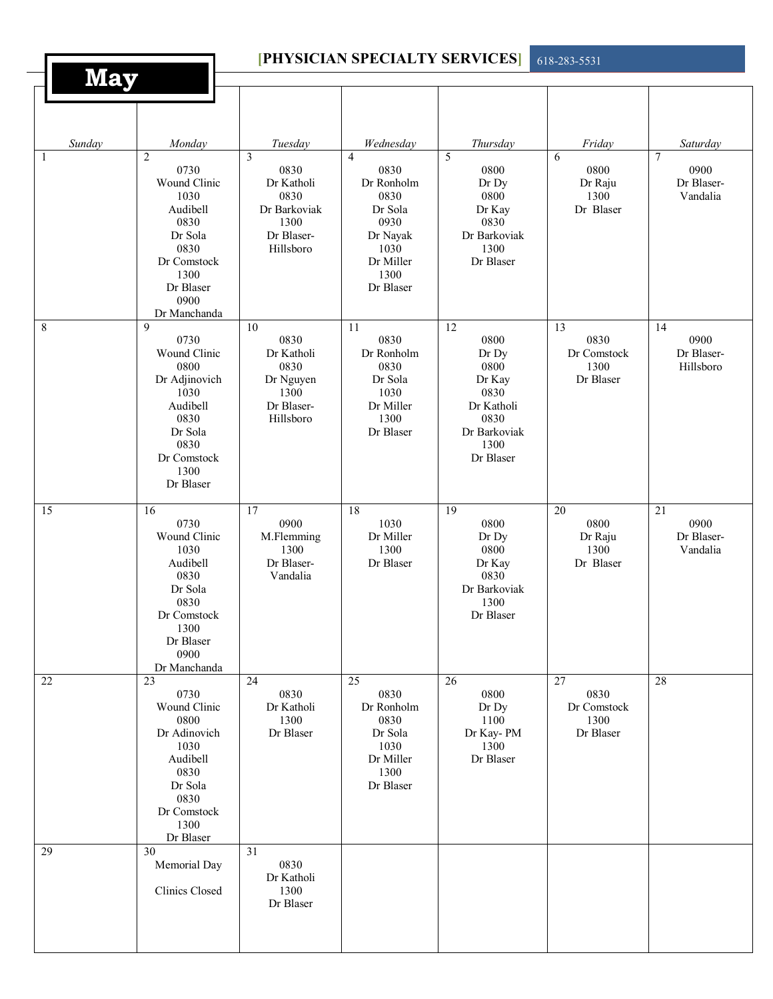| <b>PHYSICIAN SPECIALTY SERVICES</b> |                                                                                                                                                   |                                                                                    |                                                                                                                       |                                                                                                                       | 618-283-5531                                                |                                                   |
|-------------------------------------|---------------------------------------------------------------------------------------------------------------------------------------------------|------------------------------------------------------------------------------------|-----------------------------------------------------------------------------------------------------------------------|-----------------------------------------------------------------------------------------------------------------------|-------------------------------------------------------------|---------------------------------------------------|
| <b>May</b>                          |                                                                                                                                                   |                                                                                    |                                                                                                                       |                                                                                                                       |                                                             |                                                   |
| Sunday                              | Monday                                                                                                                                            | Tuesday                                                                            | Wednesday                                                                                                             | Thursday                                                                                                              | Friday                                                      | Saturday                                          |
| 1                                   | $\overline{c}$<br>0730<br>Wound Clinic<br>1030<br>Audibell<br>0830<br>Dr Sola<br>0830<br>Dr Comstock<br>1300<br>Dr Blaser<br>0900<br>Dr Manchanda | 3<br>0830<br>Dr Katholi<br>0830<br>Dr Barkoviak<br>1300<br>Dr Blaser-<br>Hillsboro | $\overline{4}$<br>0830<br>Dr Ronholm<br>0830<br>Dr Sola<br>0930<br>Dr Nayak<br>1030<br>Dr Miller<br>1300<br>Dr Blaser | 5<br>0800<br>Dr Dy<br>0800<br>Dr Kay<br>0830<br>Dr Barkoviak<br>1300<br>Dr Blaser                                     | 6<br>0800<br>Dr Raju<br>1300<br>Dr Blaser                   | $\tau$<br>0900<br>Dr Blaser-<br>Vandalia          |
| $\,8\,$                             | $\mathbf Q$<br>0730<br>Wound Clinic<br>0800<br>Dr Adjinovich<br>1030<br>Audibell<br>0830<br>Dr Sola<br>0830<br>Dr Comstock<br>1300<br>Dr Blaser   | 10<br>0830<br>Dr Katholi<br>0830<br>Dr Nguyen<br>1300<br>Dr Blaser-<br>Hillsboro   | 11<br>0830<br>Dr Ronholm<br>0830<br>Dr Sola<br>1030<br>Dr Miller<br>1300<br>Dr Blaser                                 | $\overline{12}$<br>0800<br>Dr Dy<br>0800<br>Dr Kay<br>0830<br>Dr Katholi<br>0830<br>Dr Barkoviak<br>1300<br>Dr Blaser | $\overline{13}$<br>0830<br>Dr Comstock<br>1300<br>Dr Blaser | 14<br>0900<br>Dr Blaser-<br>Hillsboro             |
| 15                                  | 16<br>0730<br>Wound Clinic<br>1030<br>Audibell<br>0830<br>Dr Sola<br>0830<br>Dr Comstock<br>1300<br>Dr Blaser<br>0900<br>Dr Manchanda             | 17<br>0900<br>M.Flemming<br>1300<br>Dr Blaser-<br>Vandalia                         | 18<br>1030<br>Dr Miller<br>1300<br>Dr Blaser                                                                          | $\overline{19}$<br>0800<br>Dr Dy<br>0800<br>Dr Kay<br>0830<br>Dr Barkoviak<br>1300<br>Dr Blaser                       | $\overline{20}$<br>0800<br>Dr Raju<br>1300<br>Dr Blaser     | $\overline{21}$<br>0900<br>Dr Blaser-<br>Vandalia |
| 22                                  | 23<br>0730<br>Wound Clinic<br>0800<br>Dr Adinovich<br>1030<br>Audibell<br>0830<br>Dr Sola<br>0830<br>Dr Comstock<br>1300<br>Dr Blaser             | 24<br>0830<br>Dr Katholi<br>1300<br>Dr Blaser                                      | 25<br>0830<br>Dr Ronholm<br>0830<br>Dr Sola<br>1030<br>Dr Miller<br>1300<br>Dr Blaser                                 | 26<br>0800<br>Dr Dy<br>1100<br>Dr Kay-PM<br>1300<br>Dr Blaser                                                         | 27<br>0830<br>Dr Comstock<br>1300<br>Dr Blaser              | 28                                                |
| 29                                  | 30<br>Memorial Day<br>Clinics Closed                                                                                                              | 31<br>0830<br>Dr Katholi<br>1300<br>Dr Blaser                                      |                                                                                                                       |                                                                                                                       |                                                             |                                                   |